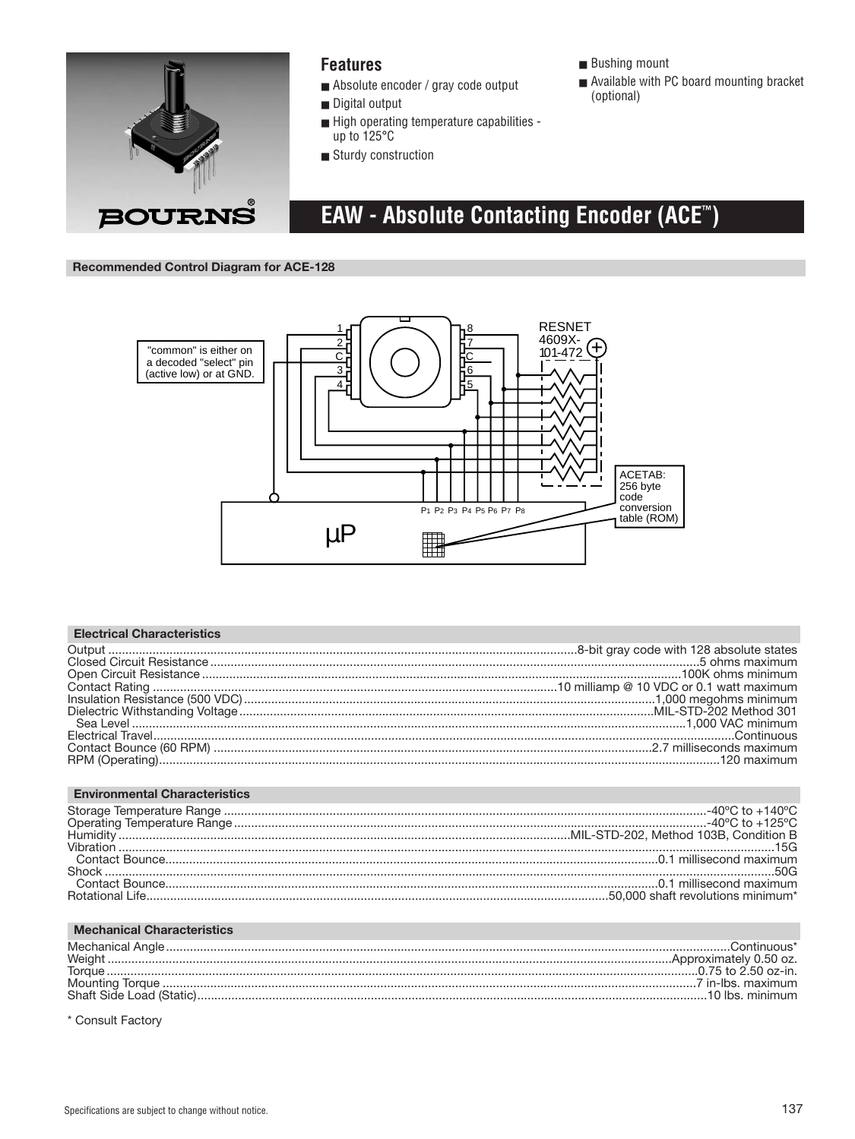

### **Features**

- Absolute encoder / gray code output
- Digital output
- $\blacksquare$  High operating temperature capabilities -<br>up to 125°C
- Sturdy construction
- **Bushing mount**
- Available with PC board mounting bracket (optional)
- EAW Absolute Contacting Encoder (ACET)

**Recommended Control Diagram for ACE-128** 



| <b>Electrical Characteristics</b>    |  |
|--------------------------------------|--|
|                                      |  |
|                                      |  |
|                                      |  |
|                                      |  |
|                                      |  |
|                                      |  |
|                                      |  |
|                                      |  |
|                                      |  |
|                                      |  |
| <b>Environmental Characteristics</b> |  |
|                                      |  |
|                                      |  |
|                                      |  |
|                                      |  |
|                                      |  |
|                                      |  |
|                                      |  |
|                                      |  |
|                                      |  |

| <b>Mechanical Characteristics</b> |                 |
|-----------------------------------|-----------------|
|                                   |                 |
|                                   |                 |
| <b>Torque</b>                     |                 |
|                                   |                 |
|                                   | 10 lbs. minimum |

\* Consult Factory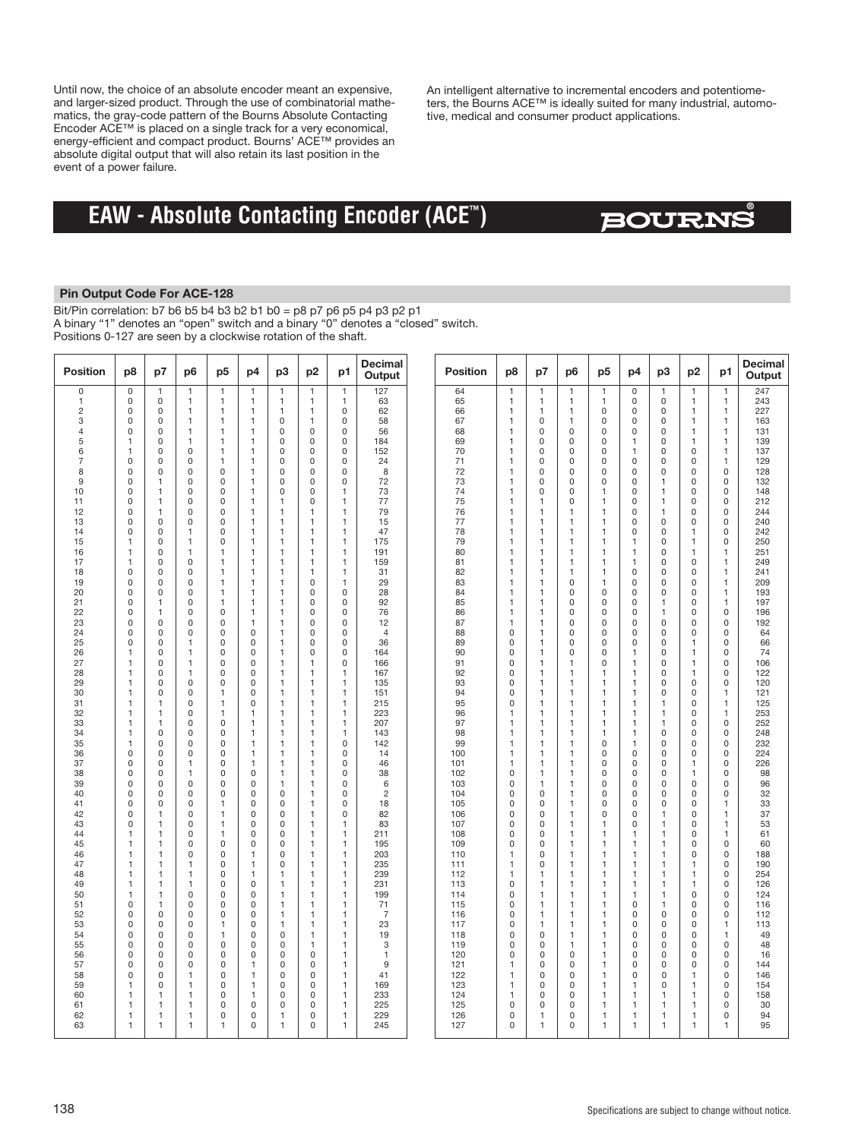Until now, the choice of an absolute encoder meant an expensive, and larger-sized product. Through the use of combinatorial mathematics, the gray-code pattern of the Bourns Absolute Contacting Encoder ACE™ is placed on a single track for a very economical, energy-efficient and compact product. Bourns' ACE™ provides an absolute digital output that will also retain its last position in the event of a power failure.

An intelligent alternative to incremental encoders and potentiometers, the Bourns ACE™ is ideally suited for many industrial, automotive, medical and consumer product applications.

## **EAW - Absolute Contacting Encoder (ACE™)**

## **BOURNS**

### **Pin Output Code For ACE-128**

Bit/Pin correlation: b7 b6 b5 b4 b3 b2 b1 b0 = p8 p7 p6 p5 p4 p3 p2 p1 A binary "1" denotes an "open" switch and a binary "0" denotes a "closed" switch. Positions 0-127 are seen by a clockwise rotation of the shaft.

| Position            | p8                            | p7                           | p6                           | p <sub>5</sub>               | p4                            | p3                           | p <sub>2</sub>               | p1                           | <b>Decimal</b><br>Output | <b>Position</b> | p8                           | p7                             | p6                             | p <sub>5</sub>               | p4                           | p3                           | p <sub>2</sub>               | p1                           | Decimal<br>Output |
|---------------------|-------------------------------|------------------------------|------------------------------|------------------------------|-------------------------------|------------------------------|------------------------------|------------------------------|--------------------------|-----------------|------------------------------|--------------------------------|--------------------------------|------------------------------|------------------------------|------------------------------|------------------------------|------------------------------|-------------------|
| 0                   | 0                             | 1                            | 1                            | $\mathbf{1}$                 | 1                             | $\mathbf{1}$                 | 1                            | $\mathbf{1}$                 | 127                      | 64              | 1                            | 1                              | $\mathbf{1}$                   | 1                            | 0                            | $\mathbf{1}$                 | $\mathbf{1}$                 | $\mathbf{1}$                 | 247               |
| 1<br>$\overline{c}$ | 0<br>$\mathsf 0$              | $\mathsf 0$<br>$\mathbf 0$   | $\mathbf{1}$<br>$\mathbf{1}$ | $\mathbf{1}$<br>$\mathbf{1}$ | 1<br>$\mathbf{1}$             | 1<br>1                       | $\mathbf{1}$<br>1            | $\mathbf{1}$<br>0            | 63<br>62                 | 65<br>66        | $\mathbf{1}$<br>$\mathbf{1}$ | $\mathbf{1}$<br>1              | $\mathbf{1}$<br>$\mathbf{1}$   | $\mathbf{1}$<br>$\mathsf 0$  | 0<br>0                       | $\mathbf 0$<br>$\mathsf 0$   | $\mathbf{1}$<br>$\mathbf{1}$ | $\mathbf{1}$<br>$\mathbf{1}$ | 243<br>227        |
| 3                   | 0                             | $\mathbf 0$                  | $\mathbf{1}$                 | $\mathbf{1}$                 | $\mathbf{1}$                  | 0                            | $\mathbf{1}$                 | $\mathbf 0$                  | 58                       | 67              | $\mathbf{1}$                 | $\mathbf 0$                    | $\mathbf{1}$                   | 0                            | $\mathbf 0$                  | $\mathbf 0$                  | $\mathbf{1}$                 | $\overline{1}$               | 163               |
| 4                   | $\mathbf 0$                   | $\mathbf 0$                  | $\mathbf{1}$                 | $\mathbf{1}$                 | $\mathbf{1}$                  | $\mathbf 0$                  | $\mathbf 0$                  | $\mathbf 0$                  | 56                       | 68              | $\mathbf{1}$                 | $\mathbf 0$                    | $\mathbf 0$                    | 0                            | $\mathbf 0$                  | $\mathbf 0$                  | $\mathbf{1}$                 | $\overline{1}$               | 131               |
| 5                   | 1                             | $\mathbf 0$                  | $\mathbf{1}$<br>$\mathbf 0$  | $\mathbf{1}$                 | $\mathbf{1}$                  | 0<br>0                       | $\mathbf 0$<br>$\mathbf 0$   | $\mathbf 0$<br>0             | 184                      | 69<br>70        | $\mathbf{1}$                 | $\mathbf 0$<br>0               | $\mathsf 0$<br>$\mathbf 0$     | 0                            | $\mathbf{1}$                 | $\mathbf 0$<br>$\mathbf 0$   | $\mathbf{1}$<br>$\mathbf 0$  | $\overline{1}$               | 139               |
| 6<br>7              | 1<br>$\overline{0}$           | $\mathbf 0$<br>$\mathbf 0$   | $\mathbf 0$                  | $\mathbf{1}$<br>$\mathbf{1}$ | 1<br>1                        | $\overline{0}$               | $\mathbf 0$                  | $\mathbf 0$                  | 152<br>24                | 71              | $\mathbf{1}$<br>1            | 0                              | $\mathbf 0$                    | 0<br>0                       | $\mathbf{1}$<br>$\mathbf 0$  | $\mathbf 0$                  | $\mathbf 0$                  | $\mathbf{1}$<br>$\mathbf{1}$ | 137<br>129        |
| 8                   | 0                             | $\mathbf 0$                  | $\mathbf 0$                  | $\mathbf 0$                  | $\mathbf{1}$                  | 0                            | $\mathbf 0$                  | 0                            | 8                        | 72              | 1                            | 0                              | $\mathbf 0$                    | 0                            | 0                            | 0                            | 0                            | $\mathbf 0$                  | 128               |
| 9                   | 0                             | $\mathbf{1}$                 | $\mathsf 0$                  | $\Omega$                     | 1                             | 0                            | $\Omega$                     | $\mathsf 0$                  | 72                       | 73              | $\mathbf{1}$                 | 0                              | $\mathsf 0$                    | $\Omega$                     | $\Omega$                     | $\mathbf{1}$                 | $\Omega$                     | $\mathsf 0$                  | 132               |
| 10<br>11            | 0<br>0                        | $\mathbf{1}$<br>$\mathbf{1}$ | $\mathsf 0$<br>$\mathsf 0$   | $\mathsf 0$<br>$\mathsf 0$   | 1<br>$\mathbf{1}$             | 0<br>1                       | $\mathsf 0$<br>$\mathbf 0$   | 1<br>$\mathbf{1}$            | 73<br>77                 | 74<br>75        | 1<br>$\mathbf{1}$            | 0<br>1                         | $\mathsf 0$<br>$\mathsf 0$     | 1<br>$\mathbf{1}$            | 0<br>0                       | $\mathbf{1}$<br>$\mathbf{1}$ | 0<br>0                       | $\mathsf 0$<br>$\mathsf 0$   | 148<br>212        |
| 12                  | 0                             | $\mathbf{1}$                 | $\mathsf 0$                  | $\mathsf 0$                  | 1                             | 1                            | 1                            | 1                            | 79                       | 76              | $\mathbf{1}$                 | 1                              | $\mathbf{1}$                   | $\mathbf{1}$                 | 0                            | $\mathbf{1}$                 | 0                            | $\mathsf 0$                  | 244               |
| 13                  | $\overline{0}$                | $\mathbf 0$                  | $\mathbf 0$                  | 0                            | 1                             | $\mathbf{1}$                 | $\mathbf{1}$                 | $\mathbf{1}$                 | 15                       | 77              | $\mathbf{1}$                 | 1                              | $\mathbf{1}$                   | $\mathbf{1}$                 | 0                            | $\mathbf 0$                  | $\mathbf 0$                  | $\mathbf 0$                  | 240               |
| 14<br>15            | 0<br>1                        | $\mathbf 0$<br>$\mathbf 0$   | $\mathbf{1}$<br>$\mathbf{1}$ | $\mathbf 0$<br>$\mathbf 0$   | $\mathbf{1}$<br>$\mathbf{1}$  | $\mathbf{1}$<br>$\mathbf{1}$ | $\mathbf{1}$<br>$\mathbf{1}$ | $\mathbf{1}$<br>$\mathbf{1}$ | 47<br>175                | 78<br>79        | $\mathbf{1}$<br>$\mathbf{1}$ | $\mathbf{1}$<br>$\mathbf{1}$   | $\overline{1}$<br>$\mathbf{1}$ | $\mathbf{1}$<br>$\mathbf{1}$ | $\Omega$<br>1                | $\mathbf 0$<br>$\mathbf 0$   | 1<br>$\mathbf{1}$            | $\mathbf 0$<br>$\mathsf 0$   | 242<br>250        |
| 16                  | 1                             | $\mathbf 0$                  | $\mathbf{1}$                 | $\mathbf{1}$                 | $\mathbf{1}$                  | $\mathbf{1}$                 | $\mathbf{1}$                 | $\mathbf{1}$                 | 191                      | 80              | $\mathbf{1}$                 | $\overline{1}$                 | $\overline{1}$                 | $\mathbf{1}$                 | $\mathbf{1}$                 | $\mathbf 0$                  | 1                            | $\mathbf{1}$                 | 251               |
| 17                  | $\mathbf{1}$                  | $\mathbf 0$                  | $\mathsf 0$                  | $\mathbf{1}$                 | $\mathbf{1}$                  | $\mathbf{1}$                 | $\mathbf{1}$                 | $\mathbf{1}$                 | 159                      | 81              | $\mathbf{1}$                 | 1                              | $\mathbf{1}$                   | $\mathbf{1}$                 | $\mathbf{1}$                 | 0                            | $\mathsf 0$                  | $\mathbf{1}$                 | 249               |
| 18<br>19            | $\overline{0}$<br>0           | $\mathbf 0$<br>$\mathbf 0$   | $\mathbf 0$<br>$\mathbf 0$   | $\mathbf{1}$<br>$\mathbf{1}$ | $\mathbf{1}$<br>1             | 1<br>1                       | $\mathbf{1}$<br>$\Omega$     | $\mathbf{1}$<br>1            | 31<br>29                 | 82<br>83        | 1<br>$\mathbf{1}$            | 1<br>1                         | $\mathbf{1}$<br>$\mathsf 0$    | $\mathbf{1}$<br>1            | $\mathbf 0$<br>$\Omega$      | $\mathbf 0$<br>$\Omega$      | $\mathbf 0$<br>$\Omega$      | $\mathbf{1}$<br>$\mathbf{1}$ | 241<br>209        |
| 20                  | 0                             | $\mathbf 0$                  | $\mathsf 0$                  | 1                            | 1                             | 1                            | $\mathbf 0$                  | 0                            | 28                       | 84              | $\mathbf{1}$                 | 1                              | $\mathsf 0$                    | $\mathsf 0$                  | 0                            | $\mathsf 0$                  | 0                            | $\mathbf{1}$                 | 193               |
| 21                  | 0                             | $\mathbf{1}$                 | $\mathsf 0$                  | $\mathbf{1}$                 | $\mathbf{1}$                  | $\mathbf{1}$                 | $\mathbf 0$                  | 0                            | 92                       | 85              | $\mathbf{1}$                 | $\mathbf{1}$                   | $\mathsf 0$                    | 0                            | 0                            | $\mathbf{1}$                 | 0                            | $\mathbf{1}$                 | 197               |
| 22<br>23            | 0<br>0                        | $\mathbf{1}$<br>$\mathbf 0$  | $\mathsf 0$<br>$\mathsf 0$   | $\mathsf 0$<br>$\mathbf 0$   | 1<br>1                        | 1<br>1                       | $\mathbf 0$<br>$\mathbf 0$   | 0<br>0                       | 76<br>12                 | 86<br>87        | $\mathbf{1}$<br>1            | 1<br>1                         | $\mathsf 0$<br>$\mathsf 0$     | $\mathsf 0$<br>$\mathbf 0$   | 0<br>0                       | 1<br>$\mathbf 0$             | $\mathsf 0$<br>0             | $\mathsf 0$<br>$\mathsf 0$   | 196<br>192        |
| 24                  | 0                             | $\mathbf 0$                  | $\mathbf 0$                  | $\mathbf 0$                  | $\mathbf 0$                   | $\mathbf{1}$                 | $\mathbf 0$                  | 0                            | $\overline{4}$           | 88              | $\mathbf 0$                  | $\overline{1}$                 | $\mathbf 0$                    | 0                            | $\mathbf 0$                  | $\mathbf 0$                  | $\mathbf 0$                  | $\mathbf 0$                  | 64                |
| 25                  | $\overline{0}$                | $\mathbf 0$                  | $\mathbf{1}$                 | $\mathbf 0$                  | $\mathbf 0$                   | $\mathbf{1}$                 | $\mathbf 0$                  | 0                            | 36                       | 89              | $\mathbf 0$                  | $\mathbf{1}$                   | $\mathbf 0$                    | 0                            | $\mathbf 0$                  | $\mathbf 0$                  | $\mathbf{1}$                 | $\mathbf 0$                  | 66                |
| 26<br>27            | 1<br>$\mathbf{1}$             | $\mathbf 0$<br>$\mathbf 0$   | $\mathbf{1}$<br>$\mathbf{1}$ | 0<br>$\mathsf 0$             | $\mathbf 0$<br>$\mathsf 0$    | $\mathbf{1}$<br>$\mathbf{1}$ | $\mathbf 0$<br>$\mathbf{1}$  | 0<br>0                       | 164<br>166               | 90<br>91        | $\mathbf 0$<br>$\mathbf 0$   | $\overline{1}$<br>$\mathbf{1}$ | $\mathbf 0$<br>$\mathbf{1}$    | 0<br>0                       | 1<br>1                       | 0<br>0                       | $\mathbf{1}$<br>$\mathbf{1}$ | $\mathbf 0$<br>$\mathsf 0$   | 74<br>106         |
| 28                  | 1                             | $\mathbf 0$                  | $\mathbf{1}$                 | $\mathbf 0$                  | $\mathbf 0$                   | 1                            | $\mathbf{1}$                 | 1                            | 167                      | 92              | 0                            | $\mathbf{1}$                   | $\overline{1}$                 | $\mathbf{1}$                 | 1                            | 0                            | $\mathbf{1}$                 | $\mathbf 0$                  | 122               |
| 29                  | 1                             | $\mathbf 0$                  | $\Omega$                     | 0                            | $\Omega$                      | $\mathbf{1}$                 | $\mathbf{1}$                 | $\mathbf{1}$                 | 135                      | 93              | $\Omega$                     | $\mathbf{1}$                   | $\overline{1}$                 | $\mathbf{1}$                 | $\mathbf{1}$                 | $\Omega$                     | $\mathbf 0$                  | $\mathbf 0$                  | 120               |
| 30<br>31            | 1<br>1                        | $\mathbf 0$<br>$\mathbf{1}$  | $\mathsf 0$<br>$\mathsf 0$   | 1<br>$\mathbf{1}$            | $\mathsf 0$<br>$\mathbf 0$    | $\mathbf{1}$<br>$\mathbf{1}$ | $\mathbf{1}$<br>$\mathbf{1}$ | 1<br>1                       | 151<br>215               | 94<br>95        | $\mathsf 0$<br>$\mathbf 0$   | $\mathbf{1}$<br>$\mathbf{1}$   | $\mathbf{1}$<br>$\mathbf{1}$   | 1<br>$\mathbf{1}$            | $\mathbf{1}$<br>$\mathbf{1}$ | $\mathsf 0$<br>1             | $\mathsf 0$<br>0             | $\mathbf{1}$<br>$\mathbf{1}$ | 121<br>125        |
| 32                  | 1                             | $\mathbf{1}$                 | $\bf 0$                      | $\mathbf{1}$                 | 1                             | 1                            | $\mathbf{1}$                 | 1                            | 223                      | 96              | 1                            | $\mathbf{1}$                   | $\mathbf{1}$                   | 1                            | $\mathbf{1}$                 | $\mathbf{1}$                 | 0                            | $\mathbf{1}$                 | 253               |
| 33                  | 1                             | $\mathbf{1}$                 | $\mathsf 0$                  | $\mathsf 0$                  | 1                             | 1                            | $\mathbf{1}$                 | 1                            | 207                      | 97              | 1                            | $\mathbf{1}$                   | $\mathbf{1}$                   | 1                            | $\mathbf{1}$                 | $\mathbf{1}$                 | $\mathsf 0$                  | $\mathsf 0$                  | 252               |
| 34<br>35            | 1<br>1                        | $\mathbf 0$<br>$\mathbf 0$   | $\mathbf 0$<br>$\mathsf 0$   | $\mathbf 0$<br>$\mathsf 0$   | $\mathbf{1}$<br>$\mathbf{1}$  | $\mathbf{1}$<br>$\mathbf{1}$ | $\mathbf{1}$<br>$\mathbf{1}$ | 1<br>$\mathbf 0$             | 143<br>142               | 98<br>99        | $\mathbf{1}$<br>$\mathbf{1}$ | $\mathbf{1}$<br>$\mathbf{1}$   | $\mathbf{1}$<br>$\mathbf{1}$   | $\overline{1}$<br>0          | $\mathbf{1}$<br>$\mathbf{1}$ | $\mathbf 0$<br>$\mathbf 0$   | $\mathbf 0$<br>$\mathbf 0$   | $\mathbf 0$<br>$\mathsf 0$   | 248<br>232        |
| 36                  | $\mathbf 0$                   | $\mathbf 0$                  | $\mathbf 0$                  | $\mathbf 0$                  | $\mathbf{1}$                  | 1                            | $\mathbf{1}$                 | 0                            | 14                       | 100             | $\mathbf{1}$                 | $\mathbf{1}$                   | $\mathbf{1}$                   | 0                            | $\mathbf 0$                  | $\mathbf 0$                  | $\mathbf 0$                  | $\mathbf 0$                  | 224               |
| 37                  | $\mathbf 0$                   | $\mathbf 0$                  | $\mathbf{1}$                 | $\mathsf 0$                  | $\mathbf{1}$                  | $\mathbf{1}$                 | $\mathbf{1}$                 | $\mathsf 0$                  | 46                       | 101             | $\mathbf{1}$                 | $\mathbf{1}$                   | $\mathbf{1}$                   | 0                            | $\mathbf 0$                  | $\mathbf 0$                  | $\mathbf{1}$                 | $\mathsf 0$                  | 226               |
| 38<br>39            | 0<br>$\Omega$                 | $\mathbf 0$<br>$\mathbf 0$   | $\mathbf{1}$<br>$\mathbf 0$  | $\mathbf 0$<br>$\mathbf 0$   | $\overline{0}$<br>$\mathbf 0$ | 1<br>$\mathbf{1}$            | $\mathbf{1}$<br>$\mathbf{1}$ | 0<br>$\Omega$                | 38<br>6                  | 102<br>103      | $\mathbf 0$<br>$\Omega$      | $\mathbf{1}$<br>$\mathbf{1}$   | $\mathbf{1}$<br>$\mathbf{1}$   | 0<br>$\Omega$                | $\mathbf 0$<br>$\Omega$      | $\mathbf 0$<br>$\Omega$      | 1<br>$\mathbf 0$             | $\mathbf 0$<br>$\mathbf 0$   | 98<br>96          |
| 40                  | 0                             | $\mathbf 0$                  | $\mathsf 0$                  | $\mathsf 0$                  | $\mathsf 0$                   | 0                            | $\mathbf{1}$                 | 0                            | $\overline{2}$           | 104             | $\mathsf 0$                  | $\mathsf 0$                    | $\mathbf{1}$                   | 0                            | $\mathsf 0$                  | $\mathsf 0$                  | $\mathsf 0$                  | $\mathsf 0$                  | 32                |
| 41                  | 0                             | $\mathbf 0$                  | $\mathsf 0$                  | 1                            | $\mathsf 0$                   | 0                            | $\mathbf{1}$                 | 0                            | 18                       | 105             | 0                            | 0                              | $\overline{1}$                 | 0                            | 0                            | $\mathbf 0$                  | $\mathsf 0$                  | $\mathbf{1}$                 | 33                |
| 42<br>43            | 0<br>0                        | $\mathbf{1}$<br>$\mathbf{1}$ | $\bf 0$<br>$\mathsf 0$       | $\mathbf{1}$<br>$\mathbf{1}$ | $\mathsf 0$<br>$\mathbf 0$    | 0<br>0                       | $\mathbf{1}$<br>$\mathbf{1}$ | 0                            | 82<br>83                 | 106<br>107      | 0<br>$\mathbf 0$             | 0<br>$\mathsf 0$               | $\mathbf{1}$<br>$\mathbf{1}$   | 0<br>1                       | 0<br>$\mathbf 0$             | $\mathbf{1}$<br>1            | $\mathsf 0$<br>$\mathsf 0$   | $\mathbf{1}$<br>$\mathbf{1}$ | 37<br>53          |
| 44                  | 1                             | $\mathbf{1}$                 | $\mathbf 0$                  | $\mathbf{1}$                 | $\mathbf 0$                   | 0                            | $\mathbf{1}$                 | 1<br>1                       | 211                      | 108             | $\mathbf 0$                  | $\mathbf 0$                    | $\mathbf{1}$                   | $\overline{1}$               | 1                            | $\mathbf{1}$                 | $\mathbf 0$                  | $\mathbf{1}$                 | 61                |
| 45                  | $\mathbf{1}$                  | $\mathbf{1}$                 | $\mathbf 0$                  | $\mathsf 0$                  | $\mathbf 0$                   | 0                            | $\mathbf{1}$                 | $\mathbf{1}$                 | 195                      | 109             | $\mathbf 0$                  | $\mathbf 0$                    | $\mathbf{1}$                   | $\mathbf{1}$                 | $\mathbf{1}$                 | $\mathbf{1}$                 | $\mathbf 0$                  | $\mathsf 0$                  | 60                |
| 46<br>47            | 1<br>$\mathbf{1}$             | $\mathbf{1}$<br>$\mathbf{1}$ | $\mathbf 0$<br>$\mathbf{1}$  | $\mathbf 0$<br>$\mathsf 0$   | $\mathbf{1}$<br>$\mathbf{1}$  | 0<br>0                       | $\mathbf{1}$<br>$\mathbf{1}$ | $\mathbf{1}$<br>1            | 203<br>235               | 110<br>111      | $\mathbf{1}$<br>$\mathbf{1}$ | $\mathbf 0$<br>0               | $\mathbf{1}$<br>$\mathbf{1}$   | 1<br>1                       | $\mathbf{1}$<br>$\mathbf{1}$ | $\mathbf{1}$<br>$\mathbf{1}$ | $\mathbf 0$<br>$\mathbf{1}$  | $\mathbf 0$<br>$\mathsf 0$   | 188<br>190        |
| 48                  | 1                             | $\mathbf{1}$                 | $\mathbf{1}$                 | $\mathbf 0$                  | 1                             | 1                            | $\mathbf{1}$                 | 1                            | 239                      | 112             | 1                            | 1                              | $\mathbf{1}$                   | $\mathbf{1}$                 | 1                            | $\mathbf{1}$                 | $\mathbf{1}$                 | $\mathbf 0$                  | 254               |
| 49                  | $\mathbf{1}$                  | $\mathbf{1}$                 | $\mathbf{1}$                 | $\mathbf 0$                  | $\Omega$                      | 1                            | $\mathbf{1}$                 | $\mathbf{1}$                 | 231                      | 113             | $\Omega$                     | 1                              | $\mathbf{1}$                   | $\mathbf{1}$                 | $\mathbf{1}$                 | $\mathbf{1}$                 | $\mathbf{1}$                 | $\Omega$                     | 126               |
| 50<br>51            | 1<br>$\mathbf 0$              | $\mathbf{1}$<br>$\mathbf{1}$ | $\mathbf 0$<br>$\mathsf 0$   | 0<br>$\mathsf 0$             | $\Omega$<br>$\mathsf 0$       | 1<br>$\mathbf{1}$            | $\mathbf{1}$<br>$\mathbf{1}$ | 1                            | 199                      | 114<br>115      | $\Omega$<br>0                | $\mathbf{1}$                   | $\mathbf{1}$<br>$\mathbf{1}$   | 1<br>1                       | 1<br>0                       | $\mathbf{1}$                 | $\Omega$<br>$\mathsf 0$      | $\mathsf 0$<br>$\mathsf 0$   | 124<br>116        |
| 52                  | 0                             | $\mathbf 0$                  | $\mathsf 0$                  | $\mathsf 0$                  | $\mathsf 0$                   | 1                            | $\mathbf{1}$                 | 1<br>$\mathbf{1}$            | 71<br>$\overline{7}$     | 116             | $\mathsf 0$                  | $\mathbf{1}$<br>$\mathbf{1}$   | $\mathbf{1}$                   | $\mathbf{1}$                 | 0                            | 1<br>$\bf 0$                 | $\mathsf 0$                  | $\mathsf 0$                  | 112               |
| 53                  | $\mathbf 0$                   | $\mathbf 0$                  | $\mathsf 0$                  | 1                            | $\mathsf 0$                   | 1                            | $\mathbf{1}$                 | 1                            | 23                       | 117             | $\mathsf 0$                  | $\mathbf{1}$                   | $\mathbf{1}$                   | 1                            | $\mathsf 0$                  | $\mathsf 0$                  | $\mathsf 0$                  | $\mathbf{1}$                 | 113               |
| 54                  | $\mathbf 0$                   | $\mathbf 0$                  | $\mathbf 0$                  | $\mathbf{1}$                 | $\mathbf 0$                   | 0                            | $\mathbf{1}$                 | 1                            | 19                       | 118             | $\mathbf 0$                  | $\mathbf 0$                    | $\mathbf{1}$                   | 1                            | $\mathbf 0$                  | $\mathbf 0$                  | $\mathbf 0$                  | $\mathbf{1}$                 | 49                |
| 55<br>56            | $\mathbf 0$<br>$\overline{0}$ | $\mathbf 0$<br>$\mathbf 0$   | $\mathbf 0$<br>$\mathbf 0$   | $\mathsf 0$<br>$\mathbf 0$   | $\mathbf 0$<br>$\mathbf 0$    | 0<br>0                       | $\mathbf{1}$<br>$\mathbf{0}$ | $\mathbf{1}$<br>1            | 3<br>$\mathbf{1}$        | 119<br>120      | $\mathbf 0$<br>$\mathbf 0$   | $\mathsf 0$<br>0               | $\mathbf{1}$<br>$\mathbf 0$    | 1<br>1                       | $\mathbf 0$<br>$\mathbf 0$   | $\mathbf 0$<br>$\mathbf 0$   | $\mathbf 0$<br>$\mathbf 0$   | $\mathbf 0$<br>$\mathbf 0$   | 48<br>16          |
| 57                  | $\mathbf 0$                   | $\mathbf 0$                  | $\mathbf 0$                  | 0                            | $\mathbf{1}$                  | $\mathbf 0$                  | $\mathsf 0$                  | 1                            | 9                        | 121             | $\mathbf{1}$                 | 0                              | $\mathbf 0$                    | $\mathbf{1}$                 | $\mathbf 0$                  | $\mathbf 0$                  | $\mathbf 0$                  | $\mathbf 0$                  | 144               |
| 58                  | $\overline{0}$                | $\mathbf 0$                  | $\mathbf{1}$                 | 0                            | $\mathbf{1}$                  | 0                            | $\mathbf 0$                  | 1                            | 41                       | 122             | $\mathbf{1}$                 | 0                              | $\overline{0}$                 | 1                            | $\mathbf 0$                  | $\mathbf 0$                  | 1                            | $\mathbf 0$                  | 146               |
| 59<br>60            | 1<br>1                        | $\mathbf 0$<br>$\mathbf{1}$  | $\mathbf{1}$<br>$\mathbf{1}$ | 0<br>$\mathsf 0$             | $\mathbf{1}$<br>$\mathbf{1}$  | 0<br>0                       | $\mathbf 0$<br>$\mathsf 0$   | $\mathbf{1}$<br>$\mathbf{1}$ | 169<br>233               | 123<br>124      | $\mathbf{1}$<br>$\mathbf{1}$ | 0<br>$\mathsf 0$               | 0<br>$\mathsf 0$               | 1<br>$\mathbf{1}$            | 1<br>$\mathbf{1}$            | 0<br>1                       | $\mathbf{1}$<br>$\mathbf{1}$ | $\mathbf 0$<br>$\mathsf 0$   | 154<br>158        |
| 61                  | 1                             | $\mathbf{1}$                 | $\mathbf{1}$                 | $\mathsf 0$                  | $\mathsf 0$                   | 0                            | $\mathsf 0$                  | $\mathbf{1}$                 | 225                      | 125             | 0                            | 0                              | 0                              | $\mathbf{1}$                 | 1                            | $\mathbf{1}$                 | $\mathbf{1}$                 | $\mathsf 0$                  | 30                |
| 62<br>63            | 1<br>1                        | $\mathbf{1}$<br>$\mathbf{1}$ | $\mathbf{1}$<br>$\mathbf{1}$ | $\mathsf 0$<br>1             | $\mathsf 0$<br>$\mathbf 0$    | $\mathbf{1}$<br>$\mathbf{1}$ | 0<br>0                       | $\mathbf{1}$<br>$\mathbf{1}$ | 229<br>245               | 126<br>127      | 0<br>$\mathsf 0$             | 1<br>$\mathbf{1}$              | 0<br>0                         | 1<br>$\mathbf{1}$            | $\mathbf{1}$<br>$\mathbf{1}$ | $\mathbf{1}$<br>$\mathbf{1}$ | $\mathbf{1}$<br>$\mathbf{1}$ | $\mathsf 0$<br>$\mathbf{1}$  | 94<br>95          |
|                     |                               |                              |                              |                              |                               |                              |                              |                              |                          |                 |                              |                                |                                |                              |                              |                              |                              |                              |                   |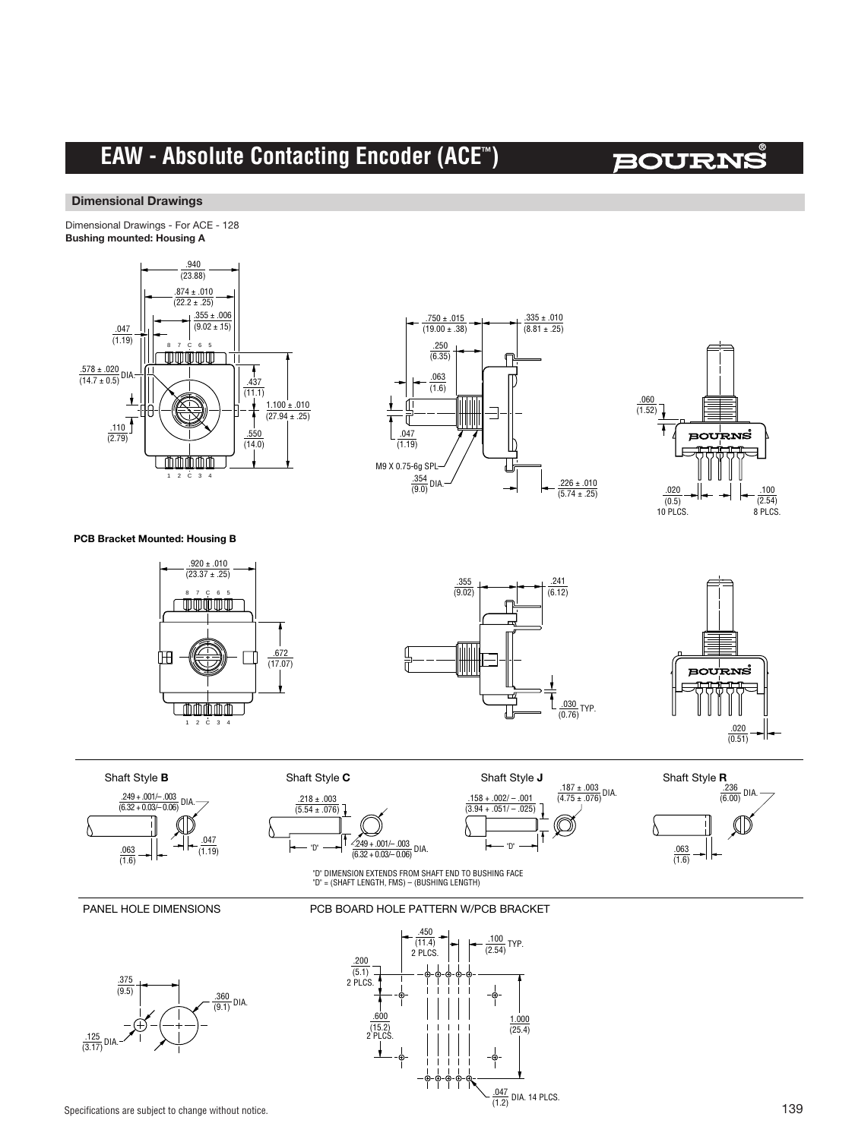# **EAW - Absolute Contacting Encoder (ACE™)**

# **BOURNS**

#### **Dimensional Drawings**

**Dimensional Drawings** Dimensional Drawings - For ACE - 128 **Bushing Mounted: Housing A Bushing mounted: Housing A**







#### **PCB Bracket Mounted: Housing B**









"D"  $\longrightarrow$   $\left| \frac{2.249 + .001/-.003}{(6.32 + 0.03/-.0.06)} \right|$  DIA.  $\frac{.218 \pm .003}{(5.54 \pm .076)}$ 

Shaft Style **C**



 $\frac{.100}{(2.54)}$  TYP.

 $\frac{1.000}{(25.4)}$ 

 $\frac{.047}{(1.2)}$  DIA. 14 PLCS.



"D" DIMENSION EXTENDS FROM SHAFT END TO BUSHING FACE "D" = (SHAFT LENGTH, FMS) – (BUSHING LENGTH)

PCB BOARD HOLE PATTERN W/PCB BRACKET

.450  $\overline{(11.4)}$ 2 PLCS.

 $600$  $(15.2)$ 2 PLCS.

 $\frac{.200}{(5.1)}$ <br>2 PLCS.